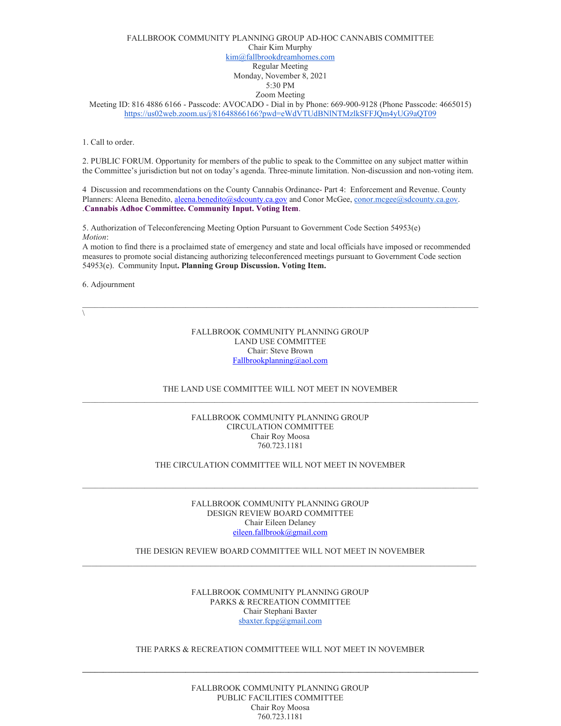# FALLBROOK COMMUNITY PLANNING GROUP AD-HOC CANNABIS COMMITTEE Chair Kim Murphy [kim@fallbrookdreamhomes.com](mailto:kim@fallbrookdreamhomes.com) Regular Meeting Monday, November 8, 2021 5:30 PM Zoom Meeting

Meeting ID: 816 4886 6166 - Passcode: AVOCADO - Dial in by Phone: 669-900-9128 (Phone Passcode: 4665015) <https://us02web.zoom.us/j/81648866166?pwd=eWdVTUdBNlNTMzlkSFFJQm4yUG9aQT09>

1. Call to order.

2. PUBLIC FORUM. Opportunity for members of the public to speak to the Committee on any subject matter within the Committee's jurisdiction but not on today's agenda. Three-minute limitation. Non-discussion and non-voting item.

4 Discussion and recommendations on the County Cannabis Ordinance- Part 4: Enforcement and Revenue. County Planners: Aleena Benedito, [aleena.benedito@sdcounty.ca.gov](mailto:aleena.benedito@sdcounty.ca.gov) and Conor McGee, [conor.mcgee@sdcounty.ca.gov.](mailto:conor.mcgee@sdcounty.ca.gov) .**Cannabis Adhoc Committee. Community Input. Voting Item**.

5. Authorization of Teleconferencing Meeting Option Pursuant to Government Code Section 54953(e) *Motion*:

A motion to find there is a proclaimed state of emergency and state and local officials have imposed or recommended measures to promote social distancing authorizing teleconferenced meetings pursuant to Government Code section 54953(e). Community Input**. Planning Group Discussion. Voting Item.** 

6. Adjournment

 $\sqrt{2}$ 

FALLBROOK COMMUNITY PLANNING GROUP LAND USE COMMITTEE Chair: Steve Brown [Fallbrookplanning@aol.com](mailto:Fallbrookplanning@aol.com)

# THE LAND USE COMMITTEE WILL NOT MEET IN NOVEMBER

### FALLBROOK COMMUNITY PLANNING GROUP CIRCULATION COMMITTEE Chair Roy Moosa 760.723.1181

## THE CIRCULATION COMMITTEE WILL NOT MEET IN NOVEMBER

FALLBROOK COMMUNITY PLANNING GROUP DESIGN REVIEW BOARD COMMITTEE Chair Eileen Delaney [eileen.fallbrook@gmail.com](mailto:eileen.fallbrook@gmail.com)

# THE DESIGN REVIEW BOARD COMMITTEE WILL NOT MEET IN NOVEMBER  $\mathcal{L}_\mathcal{L} = \{ \mathcal{L}_\mathcal{L} = \{ \mathcal{L}_\mathcal{L} = \{ \mathcal{L}_\mathcal{L} = \{ \mathcal{L}_\mathcal{L} = \{ \mathcal{L}_\mathcal{L} = \{ \mathcal{L}_\mathcal{L} = \{ \mathcal{L}_\mathcal{L} = \{ \mathcal{L}_\mathcal{L} = \{ \mathcal{L}_\mathcal{L} = \{ \mathcal{L}_\mathcal{L} = \{ \mathcal{L}_\mathcal{L} = \{ \mathcal{L}_\mathcal{L} = \{ \mathcal{L}_\mathcal{L} = \{ \mathcal{L}_\mathcal{$

### FALLBROOK COMMUNITY PLANNING GROUP PARKS & RECREATION COMMITTEE Chair Stephani Baxter [sbaxter.fcpg@gmail.com](mailto:sbaxter.fcpg@gmail.com)

# THE PARKS & RECREATION COMMITTEEE WILL NOT MEET IN NOVEMBER

**\_\_\_\_\_\_\_\_\_\_\_\_\_\_\_\_\_\_\_\_\_\_\_\_\_\_\_\_\_\_\_\_\_\_\_\_\_\_\_\_\_\_\_\_\_\_\_\_\_\_\_\_\_\_\_\_\_\_\_\_\_\_\_\_\_\_\_\_\_\_\_\_\_\_\_\_\_\_\_\_\_\_\_\_\_\_\_\_\_\_\_\_\_\_\_\_**

# FALLBROOK COMMUNITY PLANNING GROUP PUBLIC FACILITIES COMMITTEE Chair Roy Moosa 760.723.1181